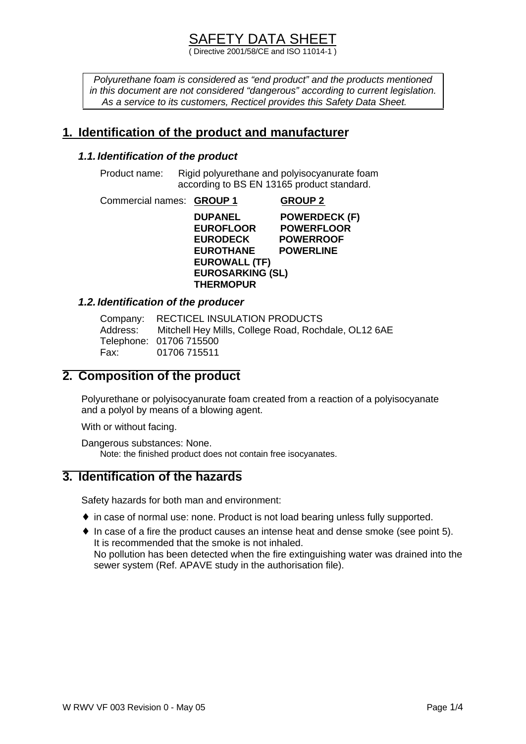( Directive 2001/58/CE and ISO 11014-1 )

*Polyurethane foam is considered as "end product" and the products mentioned in this document are not considered "dangerous" according to current legislation. As a service to its customers, Recticel provides this Safety Data Sheet.*

## **1. Identification of the product and manufacturer**

#### *1.1. Identification of the product*

Product name: Rigid polyurethane and polyisocyanurate foam according to BS EN 13165 product standard.

Commercial names: **GROUP 1 GROUP 2**

**DUPANEL POWERDECK (F) EUROFLOOR POWERFLOOR EURODECK POWERROOF EUROTHANE POWERLINE EUROWALL (TF) EUROSARKING (SL) THERMOPUR** 

#### *1.2. Identification of the producer*

|      | Company: RECTICEL INSULATION PRODUCTS                         |
|------|---------------------------------------------------------------|
|      | Address: Mitchell Hey Mills, College Road, Rochdale, OL12 6AE |
|      | Telephone: 01706 715500                                       |
| Fax: | 01706 715511                                                  |

## **2. Composition of the product**

Polyurethane or polyisocyanurate foam created from a reaction of a polyisocyanate and a polyol by means of a blowing agent.

With or without facing.

Dangerous substances: None. Note: the finished product does not contain free isocyanates.

### **3. Identification of the hazards**

Safety hazards for both man and environment:

- ♦ in case of normal use: none. Product is not load bearing unless fully supported.
- $\bullet$  In case of a fire the product causes an intense heat and dense smoke (see point 5). It is recommended that the smoke is not inhaled. No pollution has been detected when the fire extinguishing water was drained into the sewer system (Ref. APAVE study in the authorisation file).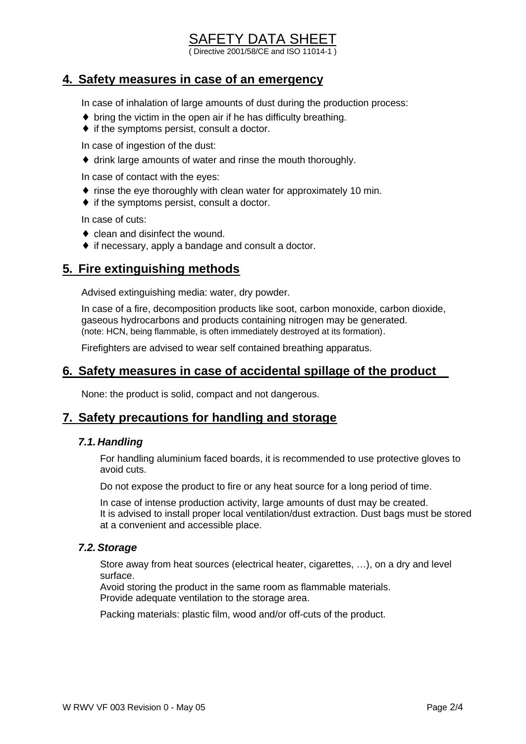# SAFETY DATA SHEET

( Directive 2001/58/CE and ISO 11014-1 )

#### **4. Safety measures in case of an emergency**

In case of inhalation of large amounts of dust during the production process:

- $\bullet$  bring the victim in the open air if he has difficulty breathing.
- $\bullet$  if the symptoms persist, consult a doctor.

In case of ingestion of the dust:

♦ drink large amounts of water and rinse the mouth thoroughly.

In case of contact with the eyes:

- ♦ rinse the eye thoroughly with clean water for approximately 10 min.
- ♦ if the symptoms persist, consult a doctor.

In case of cuts:

- $\bullet$  clean and disinfect the wound.
- ♦ if necessary, apply a bandage and consult a doctor.

### **5. Fire extinguishing methods**

Advised extinguishing media: water, dry powder.

In case of a fire, decomposition products like soot, carbon monoxide, carbon dioxide, gaseous hydrocarbons and products containing nitrogen may be generated. (note: HCN, being flammable, is often immediately destroyed at its formation).

Firefighters are advised to wear self contained breathing apparatus.

#### **6. Safety measures in case of accidental spillage of the product**

None: the product is solid, compact and not dangerous.

#### **7. Safety precautions for handling and storage**

#### *7.1. Handling*

For handling aluminium faced boards, it is recommended to use protective gloves to avoid cuts.

Do not expose the product to fire or any heat source for a long period of time.

In case of intense production activity, large amounts of dust may be created. It is advised to install proper local ventilation/dust extraction. Dust bags must be stored at a convenient and accessible place.

#### *7.2. Storage*

Store away from heat sources (electrical heater, cigarettes, …), on a dry and level surface.

Avoid storing the product in the same room as flammable materials. Provide adequate ventilation to the storage area.

Packing materials: plastic film, wood and/or off-cuts of the product.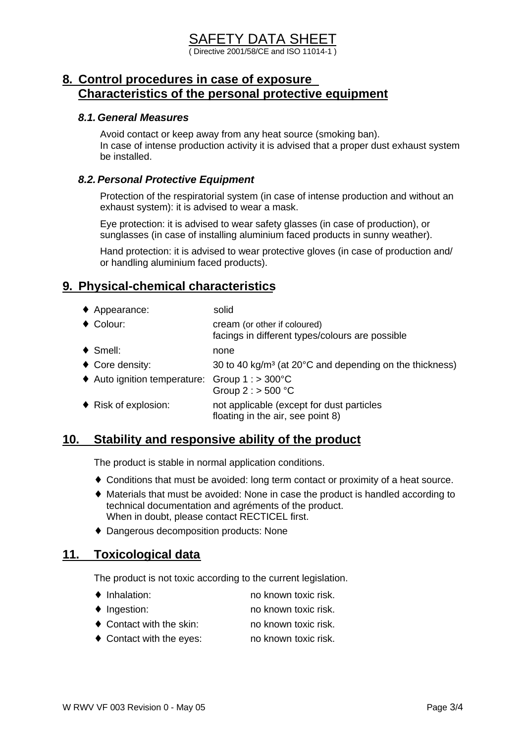# SAFETY DATA SHEET

( Directive 2001/58/CE and ISO 11014-1 )

## **8. Control procedures in case of exposure Characteristics of the personal protective equipment**

#### *8.1.General Measures*

Avoid contact or keep away from any heat source (smoking ban). In case of intense production activity it is advised that a proper dust exhaust system be installed.

#### *8.2.Personal Protective Equipment*

Protection of the respiratorial system (in case of intense production and without an exhaust system): it is advised to wear a mask.

Eye protection: it is advised to wear safety glasses (in case of production), or sunglasses (in case of installing aluminium faced products in sunny weather).

Hand protection: it is advised to wear protective gloves (in case of production and/ or handling aluminium faced products).

# **9. Physical-chemical characteristics**

- ♦ Appearance: solid
- ♦ Colour: cream (or other if coloured) facings in different types/colours are possible ♦ Smell: none • Core density:  $30 \text{ to } 40 \text{ kg/m}^3$  (at 20 $^{\circ}$ C and depending on the thickness) ♦ Auto ignition temperature: Group 1 : > 300°C Group 2 : > 500 °C ♦ Risk of explosion: not applicable (except for dust particles floating in the air, see point 8)

### **10. Stability and responsive ability of the product**

The product is stable in normal application conditions.

- ♦ Conditions that must be avoided: long term contact or proximity of a heat source.
- ♦ Materials that must be avoided: None in case the product is handled according to technical documentation and agréments of the product. When in doubt, please contact RECTICEL first.
- ♦ Dangerous decomposition products: None

### **11. Toxicological data**

The product is not toxic according to the current legislation.

- Inhalation: no known toxic risk.
- ◆ Ingestion: no known toxic risk.
- ◆ Contact with the skin: no known toxic risk.
- ◆ Contact with the eyes: no known toxic risk.